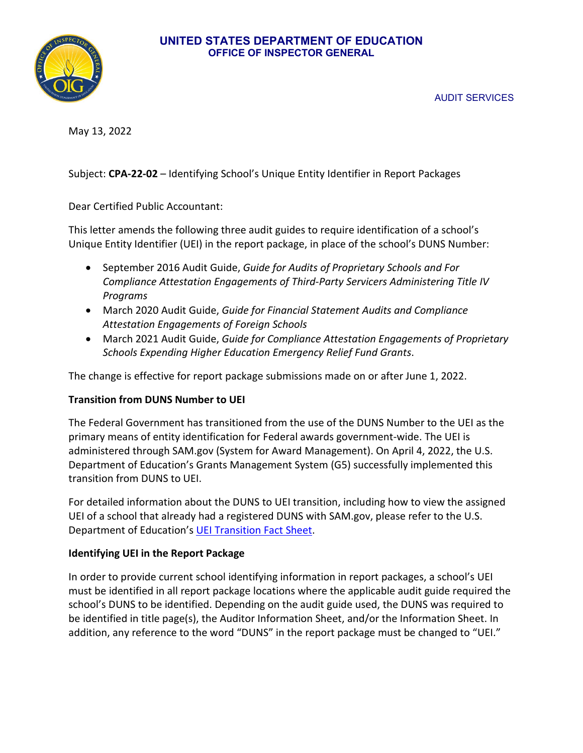#### **UNITED STATES DEPARTMENT OF EDUCATION OFFICE OF INSPECTOR GENERAL**



AUDIT SERVICES

May 13, 2022

## Subject: **CPA-22-02** – Identifying School's Unique Entity Identifier in Report Packages

Dear Certified Public Accountant:

This letter amends the following three audit guides to require identification of a school's Unique Entity Identifier (UEI) in the report package, in place of the school's DUNS Number:

- September 2016 Audit Guide, *Guide for Audits of Proprietary Schools and For Compliance Attestation Engagements of Third-Party Servicers Administering Title IV Programs*
- March 2020 Audit Guide, *Guide for Financial Statement Audits and Compliance Attestation Engagements of Foreign Schools*
- March 2021 Audit Guide, *Guide for Compliance Attestation Engagements of Proprietary Schools Expending Higher Education Emergency Relief Fund Grants*.

The change is effective for report package submissions made on or after June 1, 2022.

### **Transition from DUNS Number to UEI**

The Federal Government has transitioned from the use of the DUNS Number to the UEI as the primary means of entity identification for Federal awards government-wide. The UEI is administered through SAM.gov (System for Award Management). On April 4, 2022, the U.S. Department of Education's Grants Management System (G5) successfully implemented this transition from DUNS to UEI.

For detailed information about the DUNS to UEI transition, including how to view the assigned UEI of a school that already had a registered DUNS with SAM.gov, please refer to the U.S. Department of Education's [UEI Transition Fact Sheet.](https://www2.ed.gov/about/offices/list/ofo/docs/unique-entity-identifier-transition-fact-sheet.pdf)

### **Identifying UEI in the Report Package**

In order to provide current school identifying information in report packages, a school's UEI must be identified in all report package locations where the applicable audit guide required the school's DUNS to be identified. Depending on the audit guide used, the DUNS was required to be identified in title page(s), the Auditor Information Sheet, and/or the Information Sheet. In addition, any reference to the word "DUNS" in the report package must be changed to "UEI."